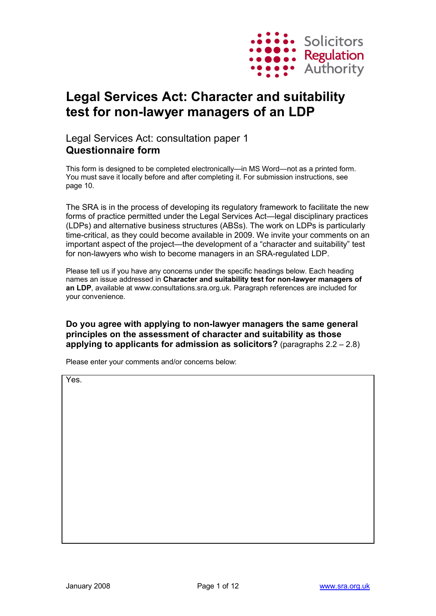

# **Legal Services Act: Character and suitability test for non-lawyer managers of an LDP**

# Legal Services Act: consultation paper 1 **Questionnaire form**

This form is designed to be completed electronically—in MS Word—not as a printed form. You must save it locally before and after completing it. For submission instructions, see page 10.

The SRA is in the process of developing its regulatory framework to facilitate the new forms of practice permitted under the Legal Services Act—legal disciplinary practices (LDPs) and alternative business structures (ABSs). The work on LDPs is particularly time-critical, as they could become available in 2009. We invite your comments on an important aspect of the project—the development of a "character and suitability" test for non-lawyers who wish to become managers in an SRA-regulated LDP.

Please tell us if you have any concerns under the specific headings below. Each heading names an issue addressed in **Character and suitability test for non-lawyer managers of an LDP**, available at <www.consultations.sra.org.uk.> Paragraph references are included for your convenience.

**Do you agree with applying to non-lawyer managers the same general principles on the assessment of character and suitability as those applying to applicants for admission as solicitors?** (paragraphs 2.2 – 2.8)

Please enter your comments and/or concerns below:

Yes.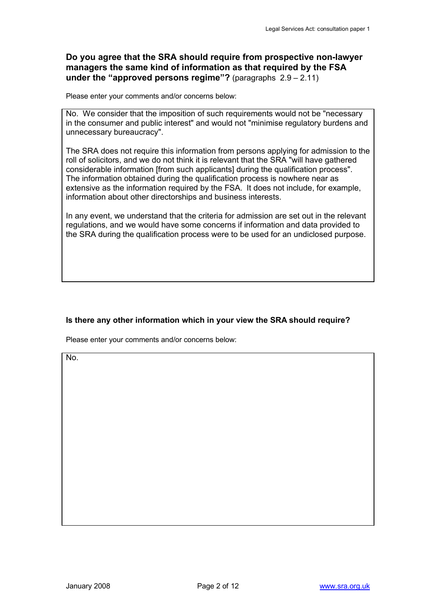### **Do you agree that the SRA should require from prospective non-lawyer managers the same kind of information as that required by the FSA under the "approved persons regime"?** (paragraphs 2.9 – 2.11)

Please enter your comments and/or concerns below:

No. We consider that the imposition of such requirements would not be "necessary in the consumer and public interest" and would not "minimise regulatory burdens and unnecessary bureaucracy".

The SRA does not require this information from persons applying for admission to the roll of solicitors, and we do not think it is relevant that the SRA "will have gathered considerable information [from such applicants] during the qualification process". The information obtained during the qualification process is nowhere near as extensive as the information required by the FSA. It does not include, for example, information about other directorships and business interests.

In any event, we understand that the criteria for admission are set out in the relevant regulations, and we would have some concerns if information and data provided to the SRA during the qualification process were to be used for an undiclosed purpose.

### **Is there any other information which in your view the SRA should require?**

Please enter your comments and/or concerns below:

No.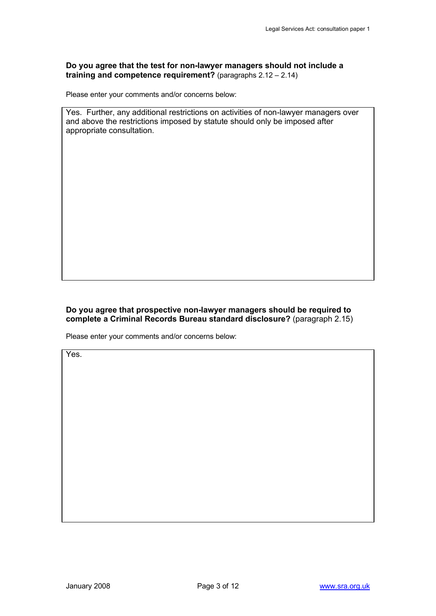#### **Do you agree that the test for non-lawyer managers should not include a training and competence requirement?** (paragraphs 2.12 – 2.14)

Please enter your comments and/or concerns below:

Yes. Further, any additional restrictions on activities of non-lawyer managers over and above the restrictions imposed by statute should only be imposed after appropriate consultation.

### **Do you agree that prospective non-lawyer managers should be required to complete a Criminal Records Bureau standard disclosure?** (paragraph 2.15)

Please enter your comments and/or concerns below:

Yes.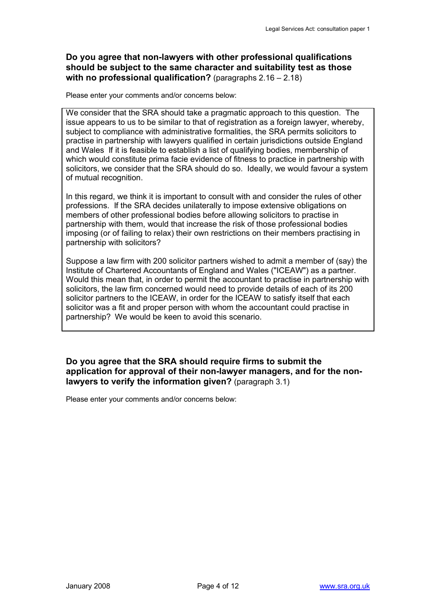## **Do you agree that non-lawyers with other professional qualifications should be subject to the same character and suitability test as those with no professional qualification?** (paragraphs 2.16 – 2.18)

Please enter your comments and/or concerns below:

We consider that the SRA should take a pragmatic approach to this question. The issue appears to us to be similar to that of registration as a foreign lawyer, whereby, subject to compliance with administrative formalities, the SRA permits solicitors to practise in partnership with lawyers qualified in certain jurisdictions outside England and Wales If it is feasible to establish a list of qualifying bodies, membership of which would constitute prima facie evidence of fitness to practice in partnership with solicitors, we consider that the SRA should do so. Ideally, we would favour a system of mutual recognition.

In this regard, we think it is important to consult with and consider the rules of other professions. If the SRA decides unilaterally to impose extensive obligations on members of other professional bodies before allowing solicitors to practise in partnership with them, would that increase the risk of those professional bodies imposing (or of failing to relax) their own restrictions on their members practising in partnership with solicitors?

Suppose a law firm with 200 solicitor partners wished to admit a member of (say) the Institute of Chartered Accountants of England and Wales ("ICEAW") as a partner. Would this mean that, in order to permit the accountant to practise in partnership with solicitors, the law firm concerned would need to provide details of each of its 200 solicitor partners to the ICEAW, in order for the ICEAW to satisfy itself that each solicitor was a fit and proper person with whom the accountant could practise in partnership? We would be keen to avoid this scenario.

### **Do you agree that the SRA should require firms to submit the application for approval of their non-lawyer managers, and for the nonlawyers to verify the information given?** (paragraph 3.1)

Please enter your comments and/or concerns below: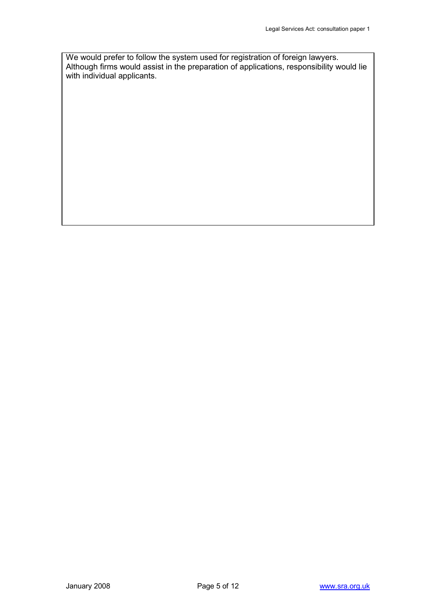We would prefer to follow the system used for registration of foreign lawyers. Although firms would assist in the preparation of applications, responsibility would lie with individual applicants.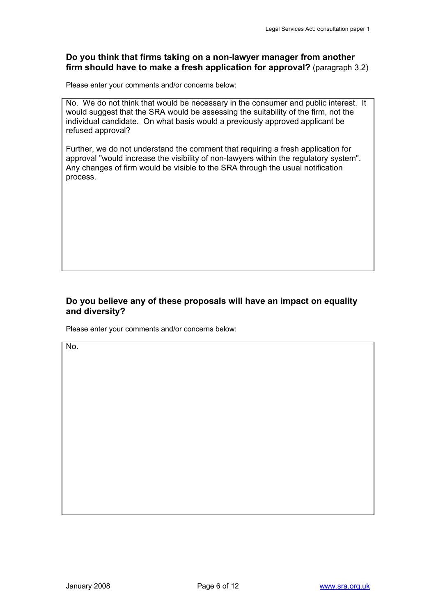### **Do you think that firms taking on a non-lawyer manager from another firm should have to make a fresh application for approval?** (paragraph 3.2)

Please enter your comments and/or concerns below:

No. We do not think that would be necessary in the consumer and public interest. It would suggest that the SRA would be assessing the suitability of the firm, not the individual candidate. On what basis would a previously approved applicant be refused approval?

Further, we do not understand the comment that requiring a fresh application for approval "would increase the visibility of non-lawyers within the regulatory system". Any changes of firm would be visible to the SRA through the usual notification process.

### **Do you believe any of these proposals will have an impact on equality and diversity?**

Please enter your comments and/or concerns below:

No.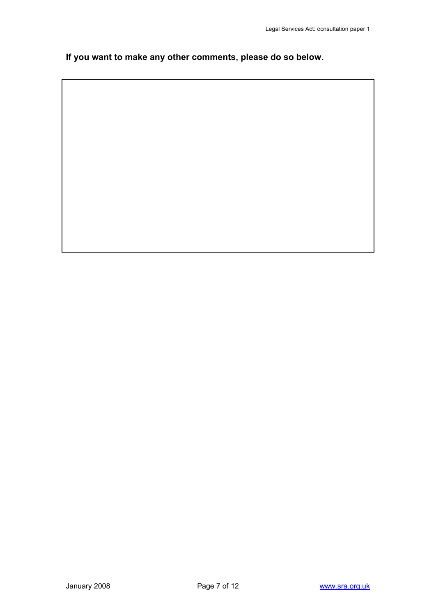**If you want to make any other comments, please do so below.**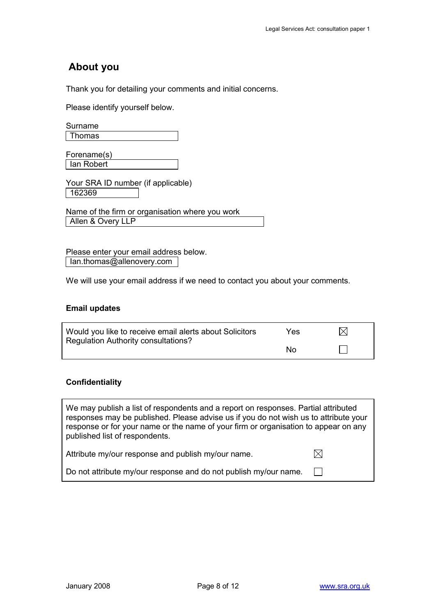# **About you**

Thank you for detailing your comments and initial concerns.

Please identify yourself below.

| Thomas |  |
|--------|--|

Forename(s) Ian Robert

Your SRA ID number (if applicable) 162369

Name of the firm or organisation where you work Allen & Overy LLP

Please enter your email address below. Ian.thomas@allenovery.com

We will use your email address if we need to contact you about your comments.

#### **Email updates**

| Would you like to receive email alerts about Solicitors | Yes. | $\boxtimes$ |
|---------------------------------------------------------|------|-------------|
| Regulation Authority consultations?                     | N٥   |             |

### **Confidentiality**

We may publish a list of respondents and a report on responses. Partial attributed responses may be published. Please advise us if you do not wish us to attribute your response or for your name or the name of your firm or organisation to appear on any published list of respondents.

| Attribute my/our response and publish my/our name.               |  |
|------------------------------------------------------------------|--|
| Do not attribute my/our response and do not publish my/our name. |  |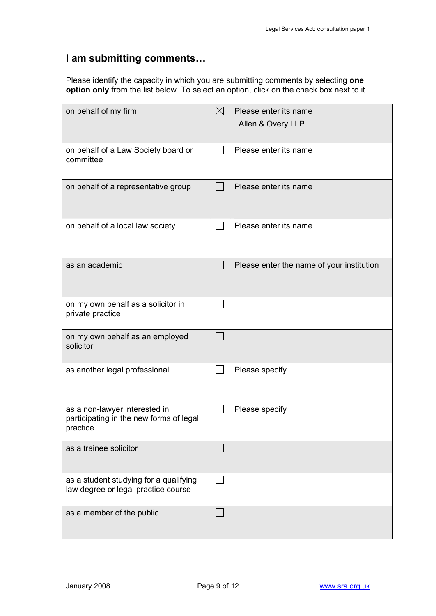# **I am submitting comments…**

Please identify the capacity in which you are submitting comments by selecting **one option only** from the list below. To select an option, click on the check box next to it.

| on behalf of my firm                                                                 | $\boxtimes$ | Please enter its name<br>Allen & Overy LLP |
|--------------------------------------------------------------------------------------|-------------|--------------------------------------------|
| on behalf of a Law Society board or<br>committee                                     |             | Please enter its name                      |
| on behalf of a representative group                                                  |             | Please enter its name                      |
| on behalf of a local law society                                                     |             | Please enter its name                      |
| as an academic                                                                       |             | Please enter the name of your institution  |
| on my own behalf as a solicitor in<br>private practice                               |             |                                            |
| on my own behalf as an employed<br>solicitor                                         |             |                                            |
| as another legal professional                                                        |             | Please specify                             |
| as a non-lawyer interested in<br>participating in the new forms of legal<br>practice |             | Please specify                             |
| as a trainee solicitor                                                               |             |                                            |
| as a student studying for a qualifying<br>law degree or legal practice course        |             |                                            |
| as a member of the public                                                            |             |                                            |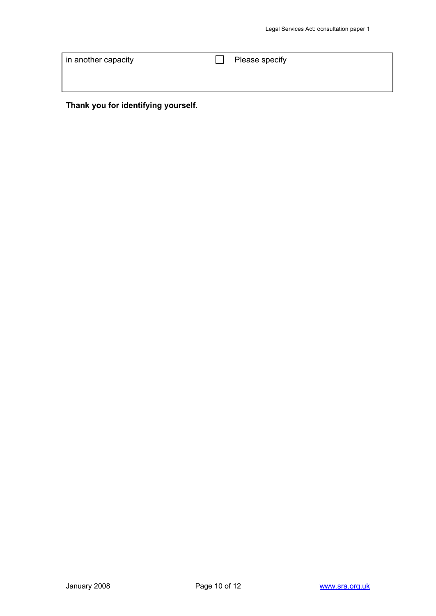| in another capacity | Please specify |
|---------------------|----------------|
|                     |                |
|                     |                |

**Thank you for identifying yourself.**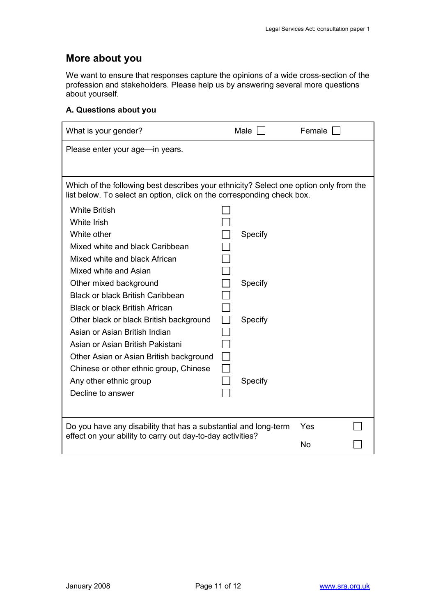# **More about you**

We want to ensure that responses capture the opinions of a wide cross-section of the profession and stakeholders. Please help us by answering several more questions about yourself.

#### **A. Questions about you**

| What is your gender?                                                                                                                                            |  | Male    | Female |  |  |
|-----------------------------------------------------------------------------------------------------------------------------------------------------------------|--|---------|--------|--|--|
| Please enter your age—in years.                                                                                                                                 |  |         |        |  |  |
|                                                                                                                                                                 |  |         |        |  |  |
|                                                                                                                                                                 |  |         |        |  |  |
| Which of the following best describes your ethnicity? Select one option only from the<br>list below. To select an option, click on the corresponding check box. |  |         |        |  |  |
| <b>White British</b>                                                                                                                                            |  |         |        |  |  |
| White Irish                                                                                                                                                     |  |         |        |  |  |
| White other                                                                                                                                                     |  | Specify |        |  |  |
| Mixed white and black Caribbean                                                                                                                                 |  |         |        |  |  |
| Mixed white and black African                                                                                                                                   |  |         |        |  |  |
| Mixed white and Asian                                                                                                                                           |  |         |        |  |  |
| Other mixed background                                                                                                                                          |  | Specify |        |  |  |
| <b>Black or black British Caribbean</b>                                                                                                                         |  |         |        |  |  |
| <b>Black or black British African</b>                                                                                                                           |  |         |        |  |  |
| Other black or black British background                                                                                                                         |  | Specify |        |  |  |
| Asian or Asian British Indian                                                                                                                                   |  |         |        |  |  |
| Asian or Asian British Pakistani                                                                                                                                |  |         |        |  |  |
| Other Asian or Asian British background                                                                                                                         |  |         |        |  |  |
| Chinese or other ethnic group, Chinese                                                                                                                          |  |         |        |  |  |
| Any other ethnic group                                                                                                                                          |  | Specify |        |  |  |
| Decline to answer                                                                                                                                               |  |         |        |  |  |
|                                                                                                                                                                 |  |         |        |  |  |
| Do you have any disability that has a substantial and long-term                                                                                                 |  |         | Yes    |  |  |
| effect on your ability to carry out day-to-day activities?                                                                                                      |  |         | No     |  |  |